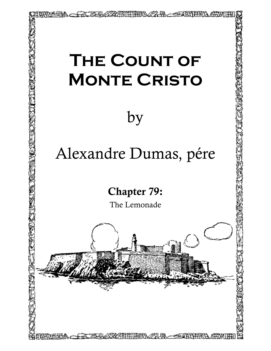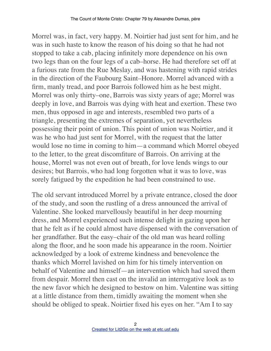Morrel was, in fact, very happy. M. Noirtier had just sent for him, and he was in such haste to know the reason of his doing so that he had not stopped to take a cab, placing infinitely more dependence on his own two legs than on the four legs of a cab–horse. He had therefore set off at a furious rate from the Rue Meslay, and was hastening with rapid strides in the direction of the Faubourg Saint–Honore. Morrel advanced with a firm, manly tread, and poor Barrois followed him as he best might. Morrel was only thirty–one, Barrois was sixty years of age; Morrel was deeply in love, and Barrois was dying with heat and exertion. These two men, thus opposed in age and interests, resembled two parts of a triangle, presenting the extremes of separation, yet nevertheless possessing their point of union. This point of union was Noirtier, and it was he who had just sent for Morrel, with the request that the latter would lose no time in coming to him—a command which Morrel obeyed to the letter, to the great discomfiture of Barrois. On arriving at the house, Morrel was not even out of breath, for love lends wings to our desires; but Barrois, who had long forgotten what it was to love, was sorely fatigued by the expedition he had been constrained to use.

The old servant introduced Morrel by a private entrance, closed the door of the study, and soon the rustling of a dress announced the arrival of Valentine. She looked marvellously beautiful in her deep mourning dress, and Morrel experienced such intense delight in gazing upon her that he felt as if he could almost have dispensed with the conversation of her grandfather. But the easy–chair of the old man was heard rolling along the floor, and he soon made his appearance in the room. Noirtier acknowledged by a look of extreme kindness and benevolence the thanks which Morrel lavished on him for his timely intervention on behalf of Valentine and himself—an intervention which had saved them from despair. Morrel then cast on the invalid an interrogative look as to the new favor which he designed to bestow on him. Valentine was sitting at a little distance from them, timidly awaiting the moment when she should be obliged to speak. Noirtier fixed his eyes on her. "Am I to say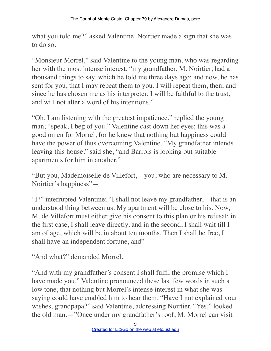what you told me?" asked Valentine. Noirtier made a sign that she was to do so.

"Monsieur Morrel," said Valentine to the young man, who was regarding her with the most intense interest, "my grandfather, M. Noirtier, had a thousand things to say, which he told me three days ago; and now, he has sent for you, that I may repeat them to you. I will repeat them, then; and since he has chosen me as his interpreter, I will be faithful to the trust, and will not alter a word of his intentions."

"Oh, I am listening with the greatest impatience," replied the young man; "speak, I beg of you." Valentine cast down her eyes; this was a good omen for Morrel, for he knew that nothing but happiness could have the power of thus overcoming Valentine. "My grandfather intends leaving this house," said she, "and Barrois is looking out suitable apartments for him in another."

"But you, Mademoiselle de Villefort,—you, who are necessary to M. Noirtier's happiness"—

"I?" interrupted Valentine; "I shall not leave my grandfather,—that is an understood thing between us. My apartment will be close to his. Now, M. de Villefort must either give his consent to this plan or his refusal; in the first case, I shall leave directly, and in the second, I shall wait till I am of age, which will be in about ten months. Then I shall be free, I shall have an independent fortune, and"—

"And what?" demanded Morrel.

"And with my grandfather's consent I shall fulfil the promise which I have made you." Valentine pronounced these last few words in such a low tone, that nothing but Morrel's intense interest in what she was saying could have enabled him to hear them. "Have I not explained your wishes, grandpapa?" said Valentine, addressing Noirtier. "Yes," looked the old man.—"Once under my grandfather's roof, M. Morrel can visit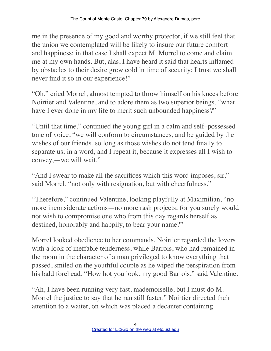me in the presence of my good and worthy protector, if we still feel that the union we contemplated will be likely to insure our future comfort and happiness; in that case I shall expect M. Morrel to come and claim me at my own hands. But, alas, I have heard it said that hearts inflamed by obstacles to their desire grew cold in time of security; I trust we shall never find it so in our experience!"

"Oh," cried Morrel, almost tempted to throw himself on his knees before Noirtier and Valentine, and to adore them as two superior beings, "what have I ever done in my life to merit such unbounded happiness?"

"Until that time," continued the young girl in a calm and self–possessed tone of voice, "we will conform to circumstances, and be guided by the wishes of our friends, so long as those wishes do not tend finally to separate us; in a word, and I repeat it, because it expresses all I wish to convey,—we will wait."

"And I swear to make all the sacrifices which this word imposes, sir," said Morrel, "not only with resignation, but with cheerfulness."

"Therefore," continued Valentine, looking playfully at Maximilian, "no more inconsiderate actions—no more rash projects; for you surely would not wish to compromise one who from this day regards herself as destined, honorably and happily, to bear your name?"

Morrel looked obedience to her commands. Noirtier regarded the lovers with a look of ineffable tenderness, while Barrois, who had remained in the room in the character of a man privileged to know everything that passed, smiled on the youthful couple as he wiped the perspiration from his bald forehead. "How hot you look, my good Barrois," said Valentine.

"Ah, I have been running very fast, mademoiselle, but I must do M. Morrel the justice to say that he ran still faster." Noirtier directed their attention to a waiter, on which was placed a decanter containing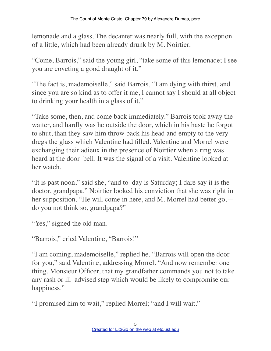lemonade and a glass. The decanter was nearly full, with the exception of a little, which had been already drunk by M. Noirtier.

"Come, Barrois," said the young girl, "take some of this lemonade; I see you are coveting a good draught of it."

"The fact is, mademoiselle," said Barrois, "I am dying with thirst, and since you are so kind as to offer it me, I cannot say I should at all object to drinking your health in a glass of it."

"Take some, then, and come back immediately." Barrois took away the waiter, and hardly was he outside the door, which in his haste he forgot to shut, than they saw him throw back his head and empty to the very dregs the glass which Valentine had filled. Valentine and Morrel were exchanging their adieux in the presence of Noirtier when a ring was heard at the door–bell. It was the signal of a visit. Valentine looked at her watch.

"It is past noon," said she, "and to–day is Saturday; I dare say it is the doctor, grandpapa." Noirtier looked his conviction that she was right in her supposition. "He will come in here, and M. Morrel had better go, do you not think so, grandpapa?"

"Yes," signed the old man.

"Barrois," cried Valentine, "Barrois!"

"I am coming, mademoiselle," replied he. "Barrois will open the door for you," said Valentine, addressing Morrel. "And now remember one thing, Monsieur Officer, that my grandfather commands you not to take any rash or ill–advised step which would be likely to compromise our happiness."

"I promised him to wait," replied Morrel; "and I will wait."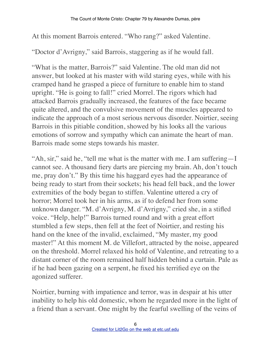At this moment Barrois entered. "Who rang?" asked Valentine.

"Doctor d'Avrigny," said Barrois, staggering as if he would fall.

"What is the matter, Barrois?" said Valentine. The old man did not answer, but looked at his master with wild staring eyes, while with his cramped hand he grasped a piece of furniture to enable him to stand upright. "He is going to fall!" cried Morrel. The rigors which had attacked Barrois gradually increased, the features of the face became quite altered, and the convulsive movement of the muscles appeared to indicate the approach of a most serious nervous disorder. Noirtier, seeing Barrois in this pitiable condition, showed by his looks all the various emotions of sorrow and sympathy which can animate the heart of man. Barrois made some steps towards his master.

"Ah, sir," said he, "tell me what is the matter with me. I am suffering—I cannot see. A thousand fiery darts are piercing my brain. Ah, don't touch me, pray don't." By this time his haggard eyes had the appearance of being ready to start from their sockets; his head fell back, and the lower extremities of the body began to stiffen. Valentine uttered a cry of horror; Morrel took her in his arms, as if to defend her from some unknown danger. "M. d'Avrigny, M. d'Avrigny," cried she, in a stifled voice. "Help, help!" Barrois turned round and with a great effort stumbled a few steps, then fell at the feet of Noirtier, and resting his hand on the knee of the invalid, exclaimed, "My master, my good master!" At this moment M. de Villefort, attracted by the noise, appeared on the threshold. Morrel relaxed his hold of Valentine, and retreating to a distant corner of the room remained half hidden behind a curtain. Pale as if he had been gazing on a serpent, he fixed his terrified eye on the agonized sufferer.

Noirtier, burning with impatience and terror, was in despair at his utter inability to help his old domestic, whom he regarded more in the light of a friend than a servant. One might by the fearful swelling of the veins of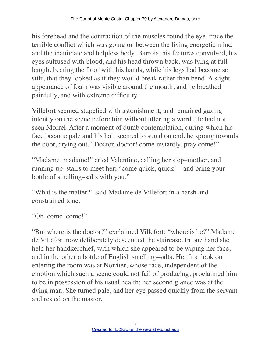his forehead and the contraction of the muscles round the eye, trace the terrible conflict which was going on between the living energetic mind and the inanimate and helpless body. Barrois, his features convulsed, his eyes suffused with blood, and his head thrown back, was lying at full length, beating the floor with his hands, while his legs had become so stiff, that they looked as if they would break rather than bend. A slight appearance of foam was visible around the mouth, and he breathed painfully, and with extreme difficulty.

Villefort seemed stupefied with astonishment, and remained gazing intently on the scene before him without uttering a word. He had not seen Morrel. After a moment of dumb contemplation, during which his face became pale and his hair seemed to stand on end, he sprang towards the door, crying out, "Doctor, doctor! come instantly, pray come!"

"Madame, madame!" cried Valentine, calling her step–mother, and running up–stairs to meet her; "come quick, quick!—and bring your bottle of smelling–salts with you."

"What is the matter?" said Madame de Villefort in a harsh and constrained tone.

```
"Oh, come, come!"
```
"But where is the doctor?" exclaimed Villefort; "where is he?" Madame de Villefort now deliberately descended the staircase. In one hand she held her handkerchief, with which she appeared to be wiping her face, and in the other a bottle of English smelling–salts. Her first look on entering the room was at Noirtier, whose face, independent of the emotion which such a scene could not fail of producing, proclaimed him to be in possession of his usual health; her second glance was at the dying man. She turned pale, and her eye passed quickly from the servant and rested on the master.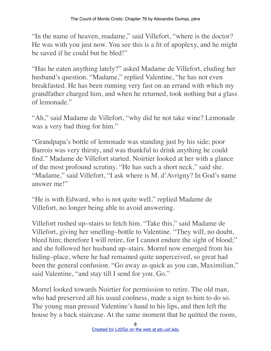"In the name of heaven, madame," said Villefort, "where is the doctor? He was with you just now. You see this is a fit of apoplexy, and he might be saved if he could but be bled!"

"Has he eaten anything lately?" asked Madame de Villefort, eluding her husband's question. "Madame," replied Valentine, "he has not even breakfasted. He has been running very fast on an errand with which my grandfather charged him, and when he returned, took nothing but a glass of lemonade."

"Ah," said Madame de Villefort, "why did he not take wine? Lemonade was a very bad thing for him."

"Grandpapa's bottle of lemonade was standing just by his side; poor Barrois was very thirsty, and was thankful to drink anything he could find." Madame de Villefort started. Noirtier looked at her with a glance of the most profound scrutiny. "He has such a short neck," said she. "Madame," said Villefort, "I ask where is M. d'Avrigny? In God's name answer me!"

"He is with Edward, who is not quite well," replied Madame de Villefort, no longer being able to avoid answering.

Villefort rushed up–stairs to fetch him. "Take this," said Madame de Villefort, giving her smelling–bottle to Valentine. "They will, no doubt, bleed him; therefore I will retire, for I cannot endure the sight of blood;" and she followed her husband up–stairs. Morrel now emerged from his hiding–place, where he had remained quite unperceived, so great had been the general confusion. "Go away as quick as you can, Maximilian," said Valentine, "and stay till I send for you. Go."

Morrel looked towards Noirtier for permission to retire. The old man, who had preserved all his usual coolness, made a sign to him to do so. The young man pressed Valentine's hand to his lips, and then left the house by a back staircase. At the same moment that he quitted the room,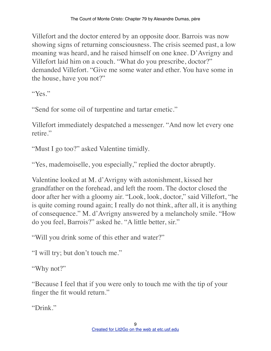Villefort and the doctor entered by an opposite door. Barrois was now showing signs of returning consciousness. The crisis seemed past, a low moaning was heard, and he raised himself on one knee. D'Avrigny and Villefort laid him on a couch. "What do you prescribe, doctor?" demanded Villefort. "Give me some water and ether. You have some in the house, have you not?"

"Yes."

"Send for some oil of turpentine and tartar emetic."

Villefort immediately despatched a messenger. "And now let every one retire."

"Must I go too?" asked Valentine timidly.

"Yes, mademoiselle, you especially," replied the doctor abruptly.

Valentine looked at M. d'Avrigny with astonishment, kissed her grandfather on the forehead, and left the room. The doctor closed the door after her with a gloomy air. "Look, look, doctor," said Villefort, "he is quite coming round again; I really do not think, after all, it is anything of consequence." M. d'Avrigny answered by a melancholy smile. "How do you feel, Barrois?" asked he. "A little better, sir."

"Will you drink some of this ether and water?"

"I will try; but don't touch me."

"Why not?"

"Because I feel that if you were only to touch me with the tip of your finger the fit would return."

"Drink."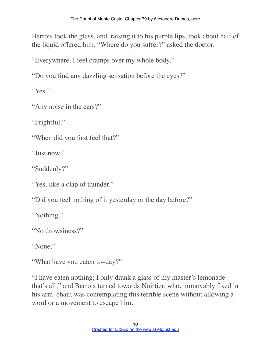Barrois took the glass, and, raising it to his purple lips, took about half of the liquid offered him. "Where do you suffer?" asked the doctor.

"Everywhere. I feel cramps over my whole body."

"Do you find any dazzling sensation before the eyes?"

"Yes"

"Any noise in the ears?"

"Frightful."

"When did you first feel that?"

"Just now."

"Suddenly?"

"Yes, like a clap of thunder."

"Did you feel nothing of it yesterday or the day before?"

"Nothing."

"No drowsiness?"

"None."

"What have you eaten to–day?"

"I have eaten nothing; I only drank a glass of my master's lemonade that's all;" and Barrois turned towards Noirtier, who, immovably fixed in his arm–chair, was contemplating this terrible scene without allowing a word or a movement to escape him.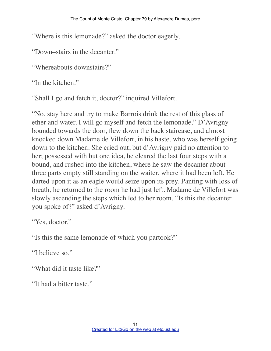"Where is this lemonade?" asked the doctor eagerly.

"Down–stairs in the decanter."

"Whereabouts downstairs?"

"In the kitchen."

"Shall I go and fetch it, doctor?" inquired Villefort.

"No, stay here and try to make Barrois drink the rest of this glass of ether and water. I will go myself and fetch the lemonade." D'Avrigny bounded towards the door, flew down the back staircase, and almost knocked down Madame de Villefort, in his haste, who was herself going down to the kitchen. She cried out, but d'Avrigny paid no attention to her; possessed with but one idea, he cleared the last four steps with a bound, and rushed into the kitchen, where he saw the decanter about three parts empty still standing on the waiter, where it had been left. He darted upon it as an eagle would seize upon its prey. Panting with loss of breath, he returned to the room he had just left. Madame de Villefort was slowly ascending the steps which led to her room. "Is this the decanter you spoke of?" asked d'Avrigny.

"Yes, doctor."

"Is this the same lemonade of which you partook?"

"I believe so."

"What did it taste like?"

"It had a bitter taste."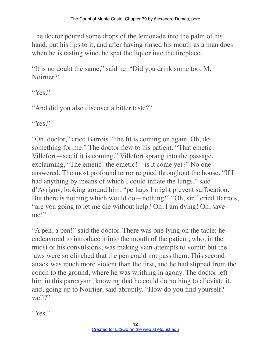The doctor poured some drops of the lemonade into the palm of his hand, put his lips to it, and after having rinsed his mouth as a man does when he is tasting wine, he spat the liquor into the fireplace.

"It is no doubt the same," said he. "Did you drink some too, M. Noirtier?"

"Yes."

"And did you also discover a bitter taste?"

"Yes."

"Oh, doctor," cried Barrois, "the fit is coming on again. Oh, do something for me." The doctor flew to his patient. "That emetic, Villefort—see if it is coming." Villefort sprang into the passage, exclaiming, "The emetic! the emetic!—is it come yet?" No one answered. The most profound terror reigned throughout the house. "If I had anything by means of which I could inflate the lungs," said d'Avrigny, looking around him, "perhaps I might prevent suffocation. But there is nothing which would do—nothing!" "Oh, sir," cried Barrois, "are you going to let me die without help? Oh, I am dying! Oh, save me!"

"A pen, a pen!" said the doctor. There was one lying on the table; he endeavored to introduce it into the mouth of the patient, who, in the midst of his convulsions, was making vain attempts to vomit; but the jaws were so clinched that the pen could not pass them. This second attack was much more violent than the first, and he had slipped from the couch to the ground, where he was writhing in agony. The doctor left him in this paroxysm, knowing that he could do nothing to alleviate it, and, going up to Noirtier, said abruptly, "How do you find yourself? well?"

"Yes."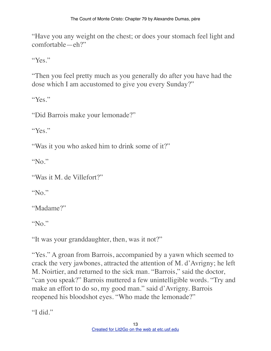"Have you any weight on the chest; or does your stomach feel light and comfortable—eh?"

"Yes."

"Then you feel pretty much as you generally do after you have had the dose which I am accustomed to give you every Sunday?"

"Yes."

"Did Barrois make your lemonade?"

"Yes."

"Was it you who asked him to drink some of it?"

"No."

"Was it M. de Villefort?"

"No."

"Madame?"

"No."

"It was your granddaughter, then, was it not?"

"Yes." A groan from Barrois, accompanied by a yawn which seemed to crack the very jawbones, attracted the attention of M. d'Avrigny; he left M. Noirtier, and returned to the sick man. "Barrois," said the doctor, "can you speak?" Barrois muttered a few unintelligible words. "Try and make an effort to do so, my good man." said d'Avrigny. Barrois reopened his bloodshot eyes. "Who made the lemonade?"

"I did."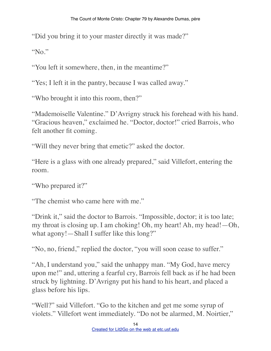"Did you bring it to your master directly it was made?"

"No."

"You left it somewhere, then, in the meantime?"

"Yes; I left it in the pantry, because I was called away."

"Who brought it into this room, then?"

"Mademoiselle Valentine." D'Avrigny struck his forehead with his hand. "Gracious heaven," exclaimed he. "Doctor, doctor!" cried Barrois, who felt another fit coming.

"Will they never bring that emetic?" asked the doctor.

"Here is a glass with one already prepared," said Villefort, entering the room.

"Who prepared it?"

"The chemist who came here with me."

"Drink it," said the doctor to Barrois. "Impossible, doctor; it is too late; my throat is closing up. I am choking! Oh, my heart! Ah, my head!—Oh, what agony!—Shall I suffer like this long?"

"No, no, friend," replied the doctor, "you will soon cease to suffer."

"Ah, I understand you," said the unhappy man. "My God, have mercy upon me!" and, uttering a fearful cry, Barrois fell back as if he had been struck by lightning. D'Avrigny put his hand to his heart, and placed a glass before his lips.

"Well?" said Villefort. "Go to the kitchen and get me some syrup of violets." Villefort went immediately. "Do not be alarmed, M. Noirtier,"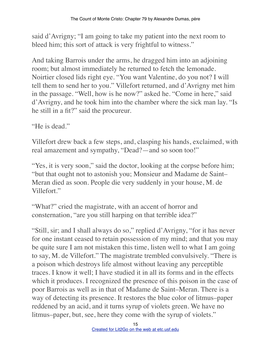said d'Avrigny; "I am going to take my patient into the next room to bleed him; this sort of attack is very frightful to witness."

And taking Barrois under the arms, he dragged him into an adjoining room; but almost immediately he returned to fetch the lemonade. Noirtier closed lids right eye. "You want Valentine, do you not? I will tell them to send her to you." Villefort returned, and d'Avrigny met him in the passage. "Well, how is he now?" asked he. "Come in here," said d'Avrigny, and he took him into the chamber where the sick man lay. "Is he still in a fit?" said the procureur.

"He is dead."

Villefort drew back a few steps, and, clasping his hands, exclaimed, with real amazement and sympathy, "Dead?—and so soon too!"

"Yes, it is very soon," said the doctor, looking at the corpse before him; "but that ought not to astonish you; Monsieur and Madame de Saint– Meran died as soon. People die very suddenly in your house, M. de Villefort."

"What?" cried the magistrate, with an accent of horror and consternation, "are you still harping on that terrible idea?"

"Still, sir; and I shall always do so," replied d'Avrigny, "for it has never for one instant ceased to retain possession of my mind; and that you may be quite sure I am not mistaken this time, listen well to what I am going to say, M. de Villefort." The magistrate trembled convulsively. "There is a poison which destroys life almost without leaving any perceptible traces. I know it well; I have studied it in all its forms and in the effects which it produces. I recognized the presence of this poison in the case of poor Barrois as well as in that of Madame de Saint–Meran. There is a way of detecting its presence. It restores the blue color of litmus–paper reddened by an acid, and it turns syrup of violets green. We have no litmus–paper, but, see, here they come with the syrup of violets."